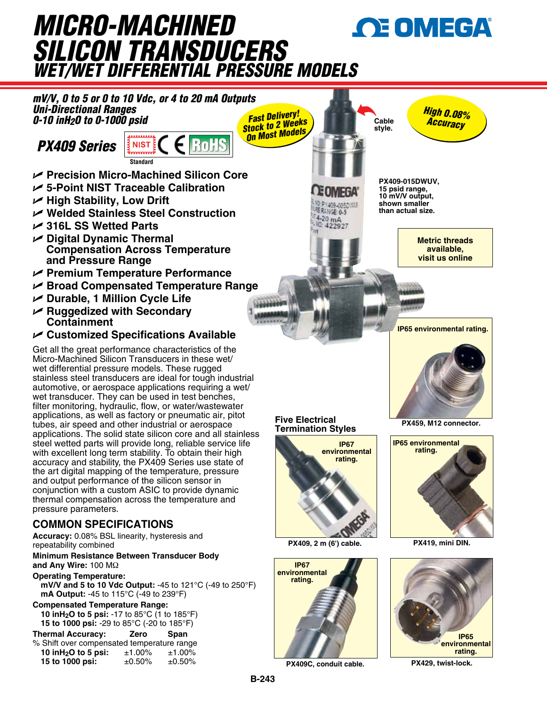## *Micro-Machined*  **OE OMEGA** *Silicon Transducers wet/wet differential Pressure Models*



**PX409C, conduit cable.**

**PX429, twist-lock.**

**15 to 1000 psi:**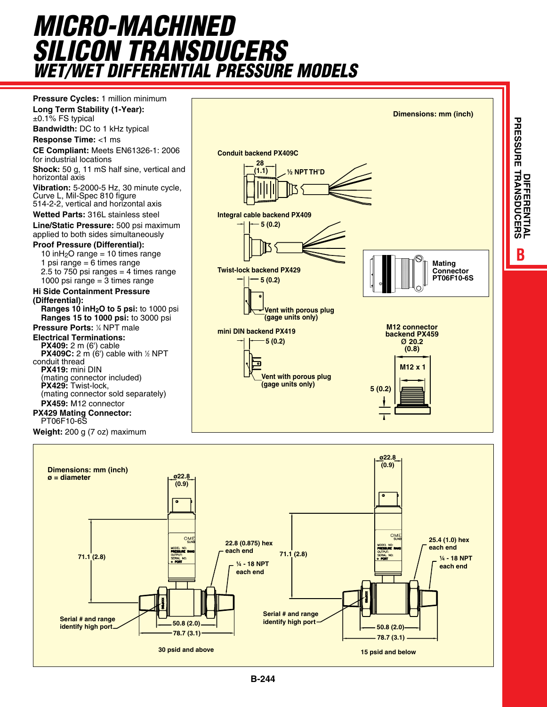# *Micro-Machined Silicon Transducers wet/wet differential Pressure Models*



**B**<br>DIFFERENTIAL **NTIAL**

**Twist-lock backend PX429**

**mini DIN backend PX419**

**NSDU**

**CERS**

**PRESSURE TRA**

**PRESSURE** 

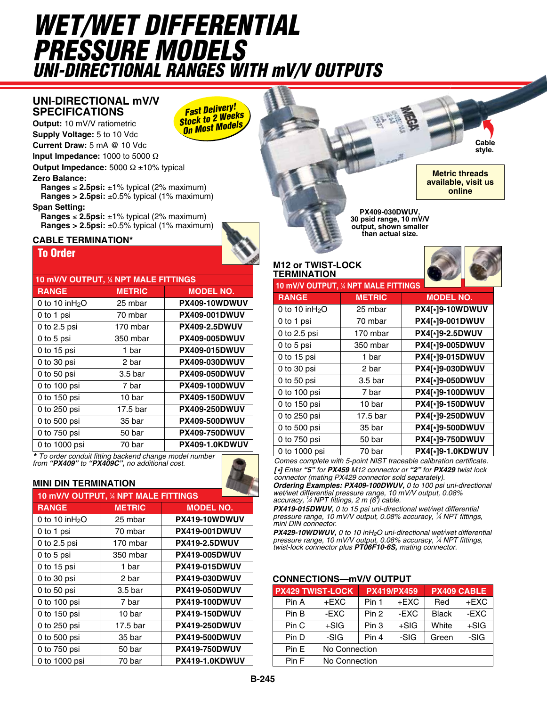# *wet/wet differential Pressure Models uni-directional ranges with mV/V outputs*

*Fast Delivery! Stock to 2 Weeks On Most Models*

### **Uni-directional mV/V Specifications**

**Output:** 10 mV/V ratiometric **Supply Voltage:** 5 to 10 Vdc

**Current Draw:** 5 mA @ 10 Vdc

**Input Impedance:** 1000 to 5000 Ω

**Output Impedance:** 5000 Ω ±10% typical

#### **Zero Balance:**

**Ranges** ≤ **2.5psi:** ±1% typical (2% maximum) **Ranges > 2.5psi:** ±0.5% typical (1% maximum)

#### **Span Setting:**

**Ranges** ≤ **2.5psi:** ±1% typical (2% maximum) **Ranges > 2.5psi:** ±0.5% typical (1% maximum)

#### To Order **cable termination\***

| 10 mV/V OUTPUT, 1/4 NPT MALE FITTINGS |                    |                      |  |  |  |
|---------------------------------------|--------------------|----------------------|--|--|--|
| <b>RANGE</b>                          | <b>METRIC</b>      | <b>MODEL NO.</b>     |  |  |  |
| 0 to 10 in $H_2O$                     | 25 mbar            | PX409-10WDWUV        |  |  |  |
| 0 to 1 psi                            | 70 mbar            | <b>PX409-001DWUV</b> |  |  |  |
| 0 to 2.5 psi                          | 170 mbar           | <b>PX409-2.5DWUV</b> |  |  |  |
| 0 to 5 psi                            | 350 mbar           | <b>PX409-005DWUV</b> |  |  |  |
| 0 to 15 psi                           | 1 bar              | <b>PX409-015DWUV</b> |  |  |  |
| 0 to $30$ psi                         | 2 bar              | <b>PX409-030DWUV</b> |  |  |  |
| $0$ to 50 psi                         | 3.5 <sub>bar</sub> | <b>PX409-050DWUV</b> |  |  |  |
| 0 to 100 psi                          | 7 bar              | <b>PX409-100DWUV</b> |  |  |  |
| 0 to 150 psi                          | 10 bar             | <b>PX409-150DWUV</b> |  |  |  |
| 0 to 250 psi                          | 17.5 bar           | <b>PX409-250DWUV</b> |  |  |  |
| 0 to 500 psi                          | 35 bar             | <b>PX409-500DWUV</b> |  |  |  |
| 0 to 750 psi                          | 50 bar             | <b>PX409-750DWUV</b> |  |  |  |
| 0 to 1000 psi                         | 70 bar             | PX409-1.0KDWUV       |  |  |  |

*\* To order conduit fitting backend change model number from "PX409" to "PX409C", no additional cost.*

#### **mini din termination**

| 10 mV/V OUTPUT, 1/4 NPT MALE FITTINGS |                    |                      |  |  |  |
|---------------------------------------|--------------------|----------------------|--|--|--|
| <b>RANGE</b>                          | <b>METRIC</b>      | <b>MODEL NO.</b>     |  |  |  |
| 0 to 10 in $H_2O$                     | 25 mbar            | PX419-10WDWUV        |  |  |  |
| 0 to 1 psi                            | 70 mbar            | <b>PX419-001DWUV</b> |  |  |  |
| 0 to 2.5 psi                          | 170 mbar           | <b>PX419-2.5DWUV</b> |  |  |  |
| 0 to 5 psi                            | 350 mbar           | <b>PX419-005DWUV</b> |  |  |  |
| 0 to 15 psi                           | 1 bar              | <b>PX419-015DWUV</b> |  |  |  |
| $0$ to $30$ psi                       | 2 bar              | <b>PX419-030DWUV</b> |  |  |  |
| 0 to 50 $psi$                         | 3.5 <sub>bar</sub> | <b>PX419-050DWUV</b> |  |  |  |
| 0 to 100 psi                          | 7 bar              | <b>PX419-100DWUV</b> |  |  |  |
| 0 to 150 psi                          | 10 bar             | <b>PX419-150DWUV</b> |  |  |  |
| 0 to 250 psi                          | 17.5 bar           | <b>PX419-250DWUV</b> |  |  |  |
| 0 to 500 psi                          | 35 bar             | <b>PX419-500DWUV</b> |  |  |  |
| 0 to 750 psi                          | 50 bar             | <b>PX419-750DWUV</b> |  |  |  |
| 0 to 1000 psi                         | 70 bar             | PX419-1.0KDWUV       |  |  |  |

**PX409-030DWUV, 30 psid range, 10 mV/V output, shown smaller than actual size.**

#### **M12 or twist-lock termination**

| <b>FERMINATION</b>                    |                    |                  |
|---------------------------------------|--------------------|------------------|
| 10 mV/V OUTPUT, 1/4 NPT MALE FITTINGS |                    |                  |
| <b>RANGE</b>                          | <b>METRIC</b>      | <b>MODEL NO.</b> |
| 0 to 10 in $H_2O$                     | 25 mbar            | PX4[*]9-10WDWUV  |
| 0 to 1 psi                            | 70 mbar            | PX4[*]9-001DWUV  |
| 0 to 2.5 psi                          | 170 mbar           | PX4[*]9-2.5DWUV  |
| 0 to 5 psi                            | 350 mbar           | PX4[*]9-005DWUV  |
| 0 to 15 psi                           | 1 bar              | PX4[*]9-015DWUV  |
| 0 to 30 psi                           | 2 bar              | PX4[*]9-030DWUV  |
| 0 to 50 psi                           | 3.5 <sub>bar</sub> | PX4[*]9-050DWUV  |
| 0 to 100 psi                          | 7 bar              | PX4[*]9-100DWUV  |

| 0 to 1 psi    | 70 mbar            | PX4[*]9-001DWUV  |
|---------------|--------------------|------------------|
| 0 to 2.5 psi  | 170 mbar           | PX4[*]9-2.5DWUV  |
| 0 to 5 psi    | 350 mbar           | PX4[*]9-005DWUV  |
| 0 to 15 psi   | 1 bar              | PX4[*]9-015DWUV  |
| 0 to 30 psi   | 2 bar              | PX4[*]9-030DWUV  |
| 0 to 50 psi   | 3.5 <sub>bar</sub> | PX4[*]9-050DWUV  |
| 0 to 100 psi  | 7 bar              | PX4[*]9-100DWUV  |
| 0 to 150 psi  | 10 bar             | PX4[*]9-150DWUV  |
| 0 to 250 psi  | 17.5 bar           | PX4[*]9-250DWUV  |
| 0 to 500 psi  | 35 bar             | PX4[*]9-500DWUV  |
| 0 to 750 psi  | 50 bar             | PX4[*]9-750DWUV  |
| 0 to 1000 psi | 70 bar             | PX4[*]9-1.0KDWUV |

*Comes complete with 5-point NIST traceable calibration certificate. [\*] Enter "5" for PX459 M12 connector or "2" for PX429 twist lock connector (mating PX429 connector sold separately).*

*Ordering Examples: PX409-100DWUV, 0 to 100 psi uni-directional wet/wet differential pressure range, 10 mV/V output, 0.08% accuracy, <sup>1</sup> ⁄4 NPT fittings, 2 m (6') cable.*

*PX419-015DWUV, 0 to 15 psi uni-directional wet/wet differential pressure range, 10 mV/V output, 0.08% accuracy, <sup>1</sup> ⁄4 NPT fittings, mini DIN connector.*

*PX429-10WDWUV, 0 to 10 inH2O uni-directional wet/wet differential pressure range, 10 mV/V output, 0.08% accuracy, <sup>1</sup> ⁄4 NPT fittings, twist-lock connector plus PT06F10-6S, mating connector.*

#### **connections—mV/V output**

|       | <b>PX429 TWIST-LOCK</b> |                  | <b>PX419/PX459</b> | PX409 CABLE  |        |
|-------|-------------------------|------------------|--------------------|--------------|--------|
| Pin A | $+EXC$                  | Pin 1            | $+EXC$             | Red          | +EXC   |
| Pin B | -EXC                    | Pin <sub>2</sub> | -EXC               | <b>Black</b> | -EXC   |
| Pin C | $+SIG$                  | Pin 3            | $+SIG$             | White        | $+SIG$ |
| Pin D | -SIG                    | Pin 4            | -SIG               | Green        | -SIG   |
| Pin E | No Connection           |                  |                    |              |        |
| Pin F | No Connection           |                  |                    |              |        |

**Cable style.**

**Metric threads available, visit us online**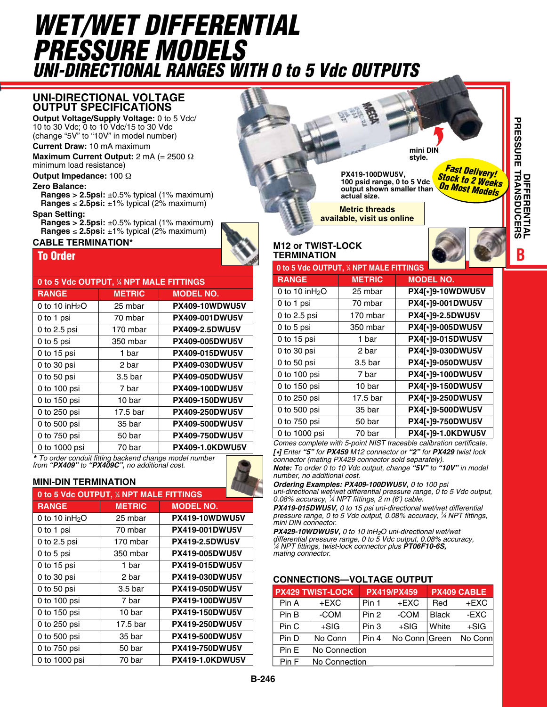# *wet/wet differential Pressure Models uni-directional ranges with 0 to 5 Vdc outputs*

### **Uni-directional VOLTAGE OUTPUT Specifications**

**Output Voltage/Supply Voltage:** 0 to 5 Vdc/ 10 to 30 Vdc; 0 to 10 Vdc/15 to 30 Vdc (change "5V" to "10V" in model number)

**Current Draw:** 10 mA maximum

**Maximum Current Output:** 2 mA (= 2500 Ω minimum load resistance)

**Output Impedance:** 100 Ω

#### **Zero Balance:**

**Ranges > 2.5psi:** ±0.5% typical (1% maximum) **Ranges** ≤ **2.5psi:** ±1% typical (2% maximum)

#### **Span Setting:**

**Ranges > 2.5psi:**  $\pm 0.5\%$  typical (1% maximum) **Ranges** ≤ **2.5psi:** ±1% typical (2% maximum)

### **cable termination\***

#### To Order

| 0 to 5 Vdc OUTPUT, % NPT MALE FITTINGS |               |                        |  |  |
|----------------------------------------|---------------|------------------------|--|--|
| <b>RANGE</b>                           | <b>METRIC</b> | <b>MODEL NO.</b>       |  |  |
| 0 to 10 in $H_2O$                      | 25 mbar       | PX409-10WDWU5V         |  |  |
| 0 to 1 psi                             | 70 mbar       | <b>PX409-001DWU5V</b>  |  |  |
| 0 to 2.5 psi                           | 170 mbar      | <b>PX409-2.5DWU5V</b>  |  |  |
| 0 to 5 psi                             | 350 mbar      | PX409-005DWU5V         |  |  |
| 0 to 15 psi                            | 1 bar         | <b>PX409-015DWU5V</b>  |  |  |
| 0 to $30$ psi                          | 2 bar         | <b>PX409-030DWU5V</b>  |  |  |
| 0 to 50 psi                            | 3.5 bar       | PX409-050DWU5V         |  |  |
| 0 to 100 psi                           | 7 bar         | PX409-100DWU5V         |  |  |
| 0 to 150 psi                           | 10 bar        | <b>PX409-150DWU5V</b>  |  |  |
| 0 to 250 psi                           | 17.5 bar      | <b>PX409-250DWU5V</b>  |  |  |
| 0 to 500 psi                           | 35 bar        | <b>PX409-500DWU5V</b>  |  |  |
| 0 to 750 psi                           | 50 bar        | <b>PX409-750DWU5V</b>  |  |  |
| 0 to 1000 psi                          | 70 bar        | <b>PX409-1.0KDWU5V</b> |  |  |

*\* To order conduit fitting backend change model number*

### **mini-din termination**

| 0 to 5 Vdc OUTPUT, 1/4 NPT MALE FITTINGS |               |                        |  |  |  |
|------------------------------------------|---------------|------------------------|--|--|--|
| <b>RANGE</b>                             | <b>METRIC</b> | <b>MODEL NO.</b>       |  |  |  |
| 0 to 10 in $H_2O$                        | 25 mbar       | PX419-10WDWU5V         |  |  |  |
| 0 to 1 psi                               | 70 mbar       | <b>PX419-001DWU5V</b>  |  |  |  |
| 0 to 2.5 psi                             | 170 mbar      | <b>PX419-2.5DWU5V</b>  |  |  |  |
| 0 to 5 psi                               | 350 mbar      | <b>PX419-005DWU5V</b>  |  |  |  |
| 0 to 15 psi                              | 1 bar         | <b>PX419-015DWU5V</b>  |  |  |  |
| 0 to 30 psi                              | 2 bar         | <b>PX419-030DWU5V</b>  |  |  |  |
| 0 to 50 $psi$                            | 3.5 bar       | <b>PX419-050DWU5V</b>  |  |  |  |
| 0 to 100 psi                             | 7 bar         | <b>PX419-100DWU5V</b>  |  |  |  |
| 0 to 150 psi                             | 10 bar        | <b>PX419-150DWU5V</b>  |  |  |  |
| 0 to 250 psi                             | 17.5 bar      | <b>PX419-250DWU5V</b>  |  |  |  |
| 0 to 500 psi                             | 35 bar        | PX419-500DWU5V         |  |  |  |
| 0 to 750 psi                             | 50 bar        | <b>PX419-750DWU5V</b>  |  |  |  |
| 0 to 1000 psi                            | 70 bar        | <b>PX419-1.0KDWU5V</b> |  |  |  |

 **0 to 5 Vdc Output, 1 ⁄4 NPT Male FITTINGS RANGE METRIC MODEL NO.** 0 to 10 inH2O 25 mbar **PX4[\*]9-10WDWU5V M12 or twist-lock termination** *Fast Delivery! Stock to 2 Weeks On Most Models* **mini DIN style. Metric threads available, visit us online PX419-100DWU5V, 100 psid range, 0 to 5 Vdc output shown smaller than actual size.**

| <b>U 10 IN 111170</b> | zo muar            | PA41*19-IUWUWU3V  |
|-----------------------|--------------------|-------------------|
| 0 to 1 psi            | 70 mbar            | PX4[*]9-001DWU5V  |
| 0 to 2.5 psi          | 170 mbar           | PX4[*]9-2.5DWU5V  |
| 0 to 5 psi            | 350 mbar           | PX4[*]9-005DWU5V  |
| 0 to 15 psi           | 1 bar              | PX4[*]9-015DWU5V  |
| 0 to 30 psi           | 2 bar              | PX4[*]9-030DWU5V  |
| $0$ to $50$ psi       | 3.5 <sub>bar</sub> | PX4[*]9-050DWU5V  |
| 0 to 100 psi          | 7 bar              | PX4[*]9-100DWU5V  |
| 0 to 150 psi          | 10 bar             | PX4[*]9-150DWU5V  |
| 0 to 250 psi          | 17.5 bar           | PX4[*]9-250DWU5V  |
| 0 to 500 psi          | 35 bar             | PX4[*]9-500DWU5V  |
| 0 to 750 psi          | 50 bar             | PX4[*]9-750DWU5V  |
| 0 to 1000 psi         | 70 bar             | PX4[*]9-1.0KDWU5V |

*Comes complete with 5-point NIST traceable calibration certificate. [\*] Enter "5" for PX459 M12 connector or "2" for PX429 twist lock* 

*from "PX409" to "PX409C", no additional cost. Note: To order 0 to 10 Vdc output, change "5V" to "10V" in model connector (mating PX429 connector sold separately).* 

*number, no additional cost. Ordering Examples: PX409-100DWU5V, 0 to 100 psi* 

*uni-directional wet/wet differential pressure range, 0 to 5 Vdc output, 0.08% accuracy, <sup>1</sup> ⁄4 NPT fittings, 2 m (6') cable.*

*PX419-015DWU5V, 0 to 15 psi uni-directional wet/wet differential pressure range, 0 to 5 Vdc output, 0.08% accuracy, <sup>1</sup> ⁄4 NPT fittings, mini DIN connector.* 

*PX429-10WDWU5V, 0 to 10 inH2O uni-directional wet/wet differential pressure range, 0 to 5 Vdc output, 0.08% accuracy, 1 ⁄4 NPT fittings, twist-lock connector plus PT06F10-6S, mating connector.*

#### **connections—Voltage output**

|       | <b>PX429 TWIST-LOCK</b> |                  | <b>PX419/PX459</b> |              | PX409 CABLE |
|-------|-------------------------|------------------|--------------------|--------------|-------------|
| Pin A | $+EXC$                  | Pin 1            | $+EXC$             | Red          | $+EXC$      |
| Pin B | -COM                    | Pin <sub>2</sub> | -COM               | <b>Black</b> | -EXC        |
| Pin C | $+SIG$                  | Pin 3            | $+SIG$             | White        | $+SIG$      |
| Pin D | No Conn                 | Pin 4            | No Conn Green      |              | No Conn     |
| Pin E | No Connection           |                  |                    |              |             |
| Pin F | No Connection           |                  |                    |              |             |